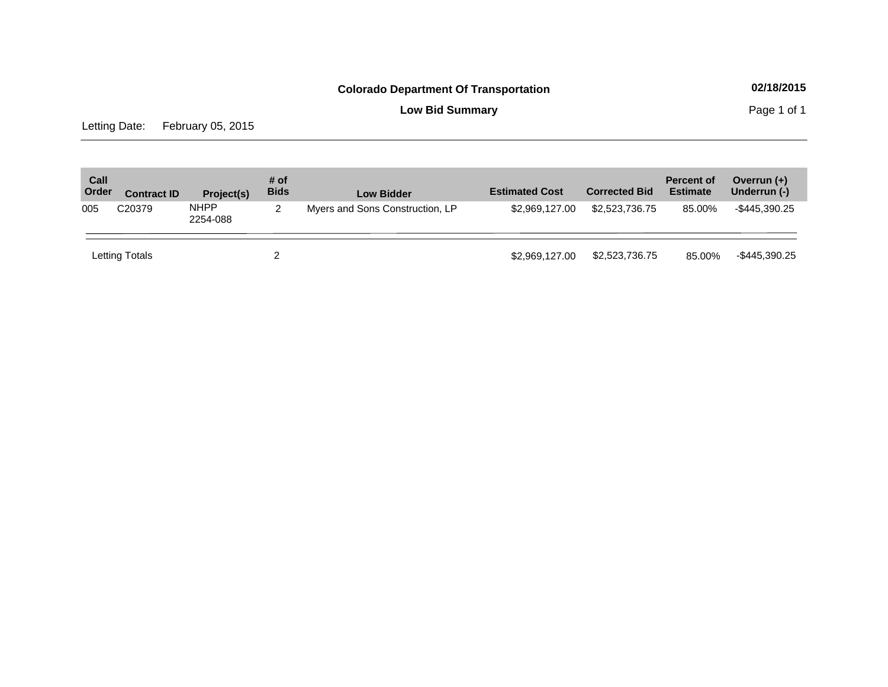**Low Bid Summary Page 1 of 1** 

Letting Date: February 05, 2015

| Call<br>Order | <b>Contract ID</b>                                                        | Project(s) | # of<br><b>Bids</b> | <b>Low Bidder</b> | <b>Estimated Cost</b> | <b>Corrected Bid</b> | Percent of<br><b>Estimate</b> | Overrun (+)<br>Underrun (-) |
|---------------|---------------------------------------------------------------------------|------------|---------------------|-------------------|-----------------------|----------------------|-------------------------------|-----------------------------|
| 005           | <b>NHPP</b><br>C20379<br>Myers and Sons Construction, LP<br>2<br>2254-088 |            | \$2,969,127.00      | \$2,523,736.75    | 85.00%                | -\$445,390.25        |                               |                             |
|               | Letting Totals                                                            |            |                     |                   | \$2,969,127,00        | \$2,523,736.75       | 85.00%                        | -\$445,390.25               |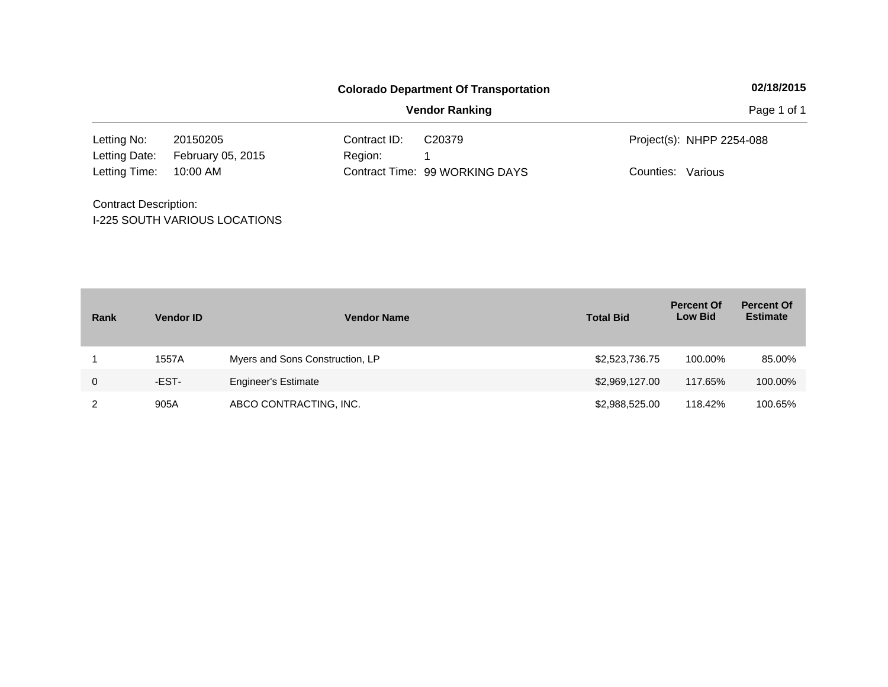|                              |                                      |              | <b>Colorado Department Of Transportation</b> | 02/18/2015                |
|------------------------------|--------------------------------------|--------------|----------------------------------------------|---------------------------|
|                              |                                      |              | <b>Vendor Ranking</b>                        | Page 1 of 1               |
| Letting No:                  | 20150205                             | Contract ID: | C <sub>20379</sub>                           | Project(s): NHPP 2254-088 |
| Letting Date:                | February 05, 2015                    | Region:      |                                              |                           |
| Letting Time:                | 10:00 AM                             |              | Contract Time: 99 WORKING DAYS               | Counties: Various         |
| <b>Contract Description:</b> |                                      |              |                                              |                           |
|                              | <b>I-225 SOUTH VARIOUS LOCATIONS</b> |              |                                              |                           |

| Rank | <b>Vendor ID</b> | <b>Vendor Name</b>              | <b>Total Bid</b> | <b>Percent Of</b><br><b>Low Bid</b> | <b>Percent Of</b><br><b>Estimate</b> |
|------|------------------|---------------------------------|------------------|-------------------------------------|--------------------------------------|
|      | 1557A            | Myers and Sons Construction, LP | \$2,523,736.75   | 100.00%                             | 85.00%                               |
| 0    | -EST-            | <b>Engineer's Estimate</b>      | \$2,969,127.00   | 117.65%                             | 100.00%                              |
| 2    | 905A             | ABCO CONTRACTING, INC.          | \$2,988,525.00   | 118.42%                             | 100.65%                              |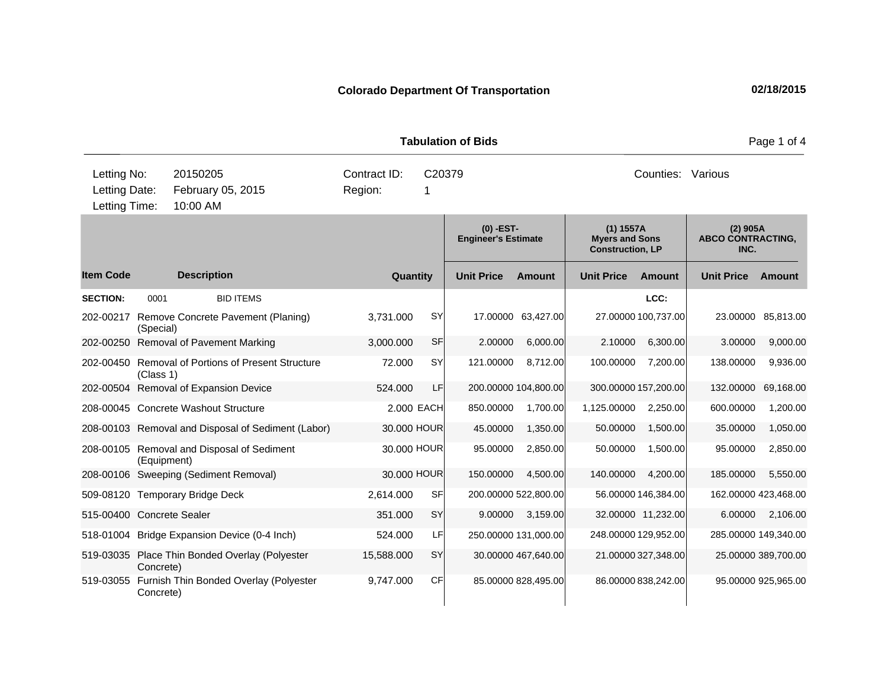**Quantity Unit Price Unit Price Item Code Amount Unit Price Amount Ext Ext Unit Price Amount Ext (0) -EST-Engineer's Estimate (1) 1557A Myers and Sons Construction, LP (2) 905A ABCO CONTRACTING, INC. Description SECTION:** 0001 BID ITEMS **LCC:** 202-00217 Remove Concrete Pavement (Planing) (Special) 3,731.000 SY 17.00000 63,427.00 27.00000 100,737.00 23.00000 85,813.00 202-00250 Removal of Pavement Marking 3,000.000 SF 2.00000 6,000.00 2.10000 6,300.00 3.00000 9,000.00 202-00450 Removal of Portions of Present Structure (Class 1) 72.000 SY 121.00000 8,712.00 100.00000 7,200.00 138.00000 9,936.00 202-00504 Removal of Expansion Device 524.000 LF 200.00000 104,800.00 300.00000 157,200.00 132.00000 69,168.00 208-00045 Concrete Washout Structure 2.000 EACH 850.00000 1,700.00 1,125.00000 2,250.00 600.00000 1,200.00 208-00103 Removal and Disposal of Sediment (Labor) 30.000 HOUR 45.00000 1,350.00 50.00000 1,500.00 35.00000 1,050.00 208-00105 Removal and Disposal of Sediment (Equipment) 30.000 HOUR 95.00000 2,850.00 50.00000 1,500.00 95.00000 2,850.00 208-00106 Sweeping (Sediment Removal) 30.000 HOUR 150.00000 4,500.00 140.00000 4,200.00 185.00000 5,550.00 509-08120 Temporary Bridge Deck 2,614.000 SF 200.00000 522,800.00 56.00000 146,384.00 162.00000 423,468.00 515-00400 Concrete Sealer 351.000 SY 9.00000 3,159.00 32.00000 11,232.00 6.00000 2,106.00 518-01004 Bridge Expansion Device (0-4 Inch) 524.000 LF 250.00000 131,000.00 248.00000 129,952.00 285.00000 149,340.00 519-03035 Place Thin Bonded Overlay (Polyester Concrete) 15,588.000 SY 30.00000 467,640.00 21.00000 327,348.00 25.00000 389,700.00 519-03055 Furnish Thin Bonded Overlay (Polyester Concrete) 9,747.000 CF 85.00000 828,495.00 86.00000 838,242.00 95.00000 925,965.00 **Tabulation of Bids Page 1 of 4 Page 1 of 4** 10:00 AM Counties: Various Letting Date: February 05, 2015 Region: 1 C20379 Region: Letting Time: Letting No: 20150205 Contract ID: Counties: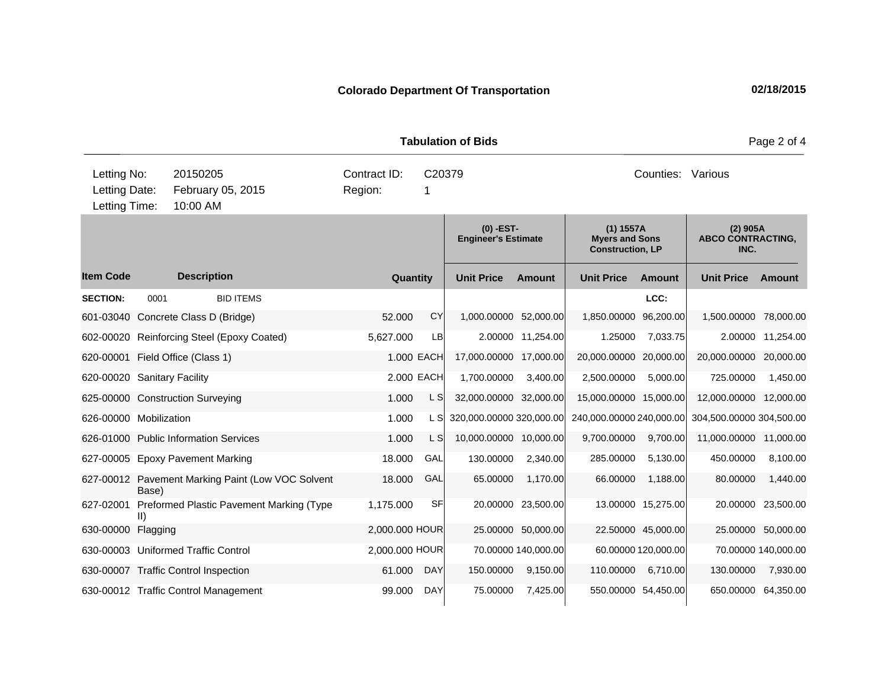**Quantity Unit Price Unit Price Ext** Item Code Description Quantity Unit Price Amount Unit Price Amount Unit Price **Ext Unit Price Amount Ext Amount (0) -EST-Engineer's Estimate (1) 1557A Myers and Sons Construction, LP (2) 905A ABCO CONTRACTING, INC. Description SECTION:** 0001 BID ITEMS **LCC:** 601-03040 Concrete Class D (Bridge) 52.000 CY 1,000.00000 52,000.00 1,850.00000 96,200.00 1,500.00000 78,000.00 602-00020 Reinforcing Steel (Epoxy Coated) 5,627.000 LB 2.00000 11,254.00 1.25000 7,033.75 2.00000 11,254.00 620-00001 Field Office (Class 1) 1.000 EACH 17,000.00000 17,000.00 20,000.00000 20,000.00 20,000.00000 20,000.00 620-00020 Sanitary Facility 2.000 EACH 1,700.00000 3,400.00 2,500.00000 5,000.00 725.00000 1,450.00 625-00000 Construction Surveying 1.000 L S 32,000.00000 32,000.00 15,000.00000 15,000.00 12,000.00000 12,000.00 626-00000 Mobilization 1.000 L S 320,000.00000 320,000.00 240,000.0000 240,000.00 304,500.000 304,500.00 304,500 626-01000 Public Information Services 1.000 L S 10,000.00000 10,000.00 9,700.00000 9,700.00 11,000.00000 11,000.00 627-00005 Epoxy Pavement Marking 18.000 GAL 130.00000 2,340.00 285.00000 5,130.00 450.00000 8,100.00 627-00012 Pavement Marking Paint (Low VOC Solvent Base) 18.000 GAL 65.00000 1,170.00 66.00000 1,188.00 80.00000 1,440.00 627-02001 Preformed Plastic Pavement Marking (Type II) 1,175.000 SF 20.00000 23,500.00 13.00000 15,275.00 20.00000 23,500.00 630-00000 Flagging 2,000.000 HOUR 25.00000 50,000.00 22.50000 45,000.00 25.00000 50,000.00 630-00003 Uniformed Traffic Control 2,000.000 HOUR 70.00000 140,000.00 60.00000 120,000.00 70.00000 140,000.00 630-00007 Traffic Control Inspection 61.000 DAY 150.00000 9,150.00 110.00000 6,710.00 130.00000 7,930.00 630-00012 Traffic Control Management 99.000 DAY 75.00000 7,425.00 550.00000 54,450.00 650.00000 64,350.00 **Tabulation of Bids Page 2 of 4 Page 2 of 4** 10:00 AM Counties: Various Letting Date: February 05, 2015 Region: 1 C20379 Region: Letting Time: Letting No: 20150205 Contract ID: Counties: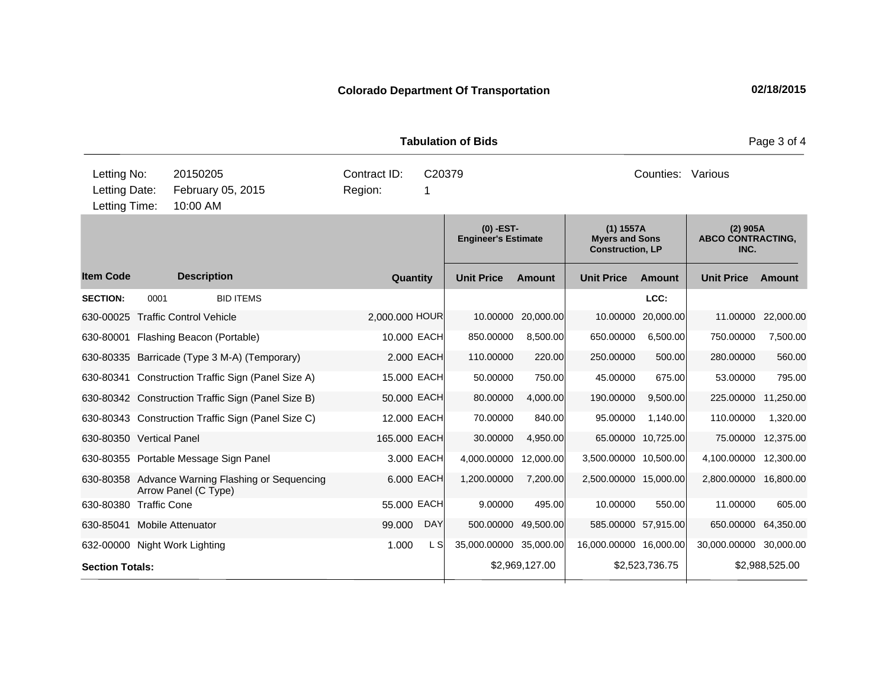**Quantity Unit Price Unit Price Ext** Item Code Description Quantity Unit Price Amount Unit Price Amount Unit Price **Ext Unit Price Amount Ext Amount (0) -EST-Engineer's Estimate (1) 1557A Myers and Sons Construction, LP (2) 905A ABCO CONTRACTING, INC. Description SECTION:** 0001 BID ITEMS **LCC:** 630-00025 Traffic Control Vehicle 2,000.000 HOUR 10.00000 20,000.00 10.00000 20,000.00 11.00000 22,000.00 630-80001 Flashing Beacon (Portable) 10.000 EACH 850.00000 8,500.00 650.00000 6,500.00 750.00000 7,500.00 630-80335 Barricade (Type 3 M-A) (Temporary) 2.000 EACH 110.00000 220.00 250.00000 500.00 280.00000 560.00 630-80341 Construction Traffic Sign (Panel Size A) 15.000 EACH 50.00000 750.00 45.00000 675.00 53.00000 795.00 630-80342 Construction Traffic Sign (Panel Size B) 50.000 EACH 80.00000 4,000.00 190.00000 9,500.00 225.00000 11,250.00 630-80343 Construction Traffic Sign (Panel Size C) 12.000 EACH 70.00000 840.00 95.00000 1,140.00 110.00000 1,320.00 630-80350 Vertical Panel 165.000 EACH 30.00000 4,950.00 65.00000 10,725.00 75.00000 12,375.00 630-80355 Portable Message Sign Panel 3.000 EACH 4,000.00000 12,000.00 3,500.00000 10,500.00 4,100.00000 12,300.00 630-80358 Advance Warning Flashing or Sequencing Arrow Panel (C Type) 6.000 EACH 1,200.00000 7,200.00 2,500.00000 15,000.00 2,800.00000 16,800.00 630-80380 Traffic Cone 55.000 EACH 9.00000 495.00 10.00000 550.00 11.00000 605.00 630-85041 Mobile Attenuator 99.000 DAY 500.00000 49,500.00 585.00000 57,915.00 650.00000 64,350.00 632-00000 Night Work Lighting  $1.000$  L S  $35,000.00000$  35,000.0000 16,000.00000 16,000.00 30,000.000 30,000.00 **Section Totals: \$2,969,127.00 \$2,523,736.75 \$2,988,525.00 Tabulation of Bids Page 3 of 4 Page 3 of 4** 10:00 AM Counties: Various Letting Date: February 05, 2015 Region: 1 C20379 Region: Letting Time: Letting No: 20150205 Contract ID: Counties: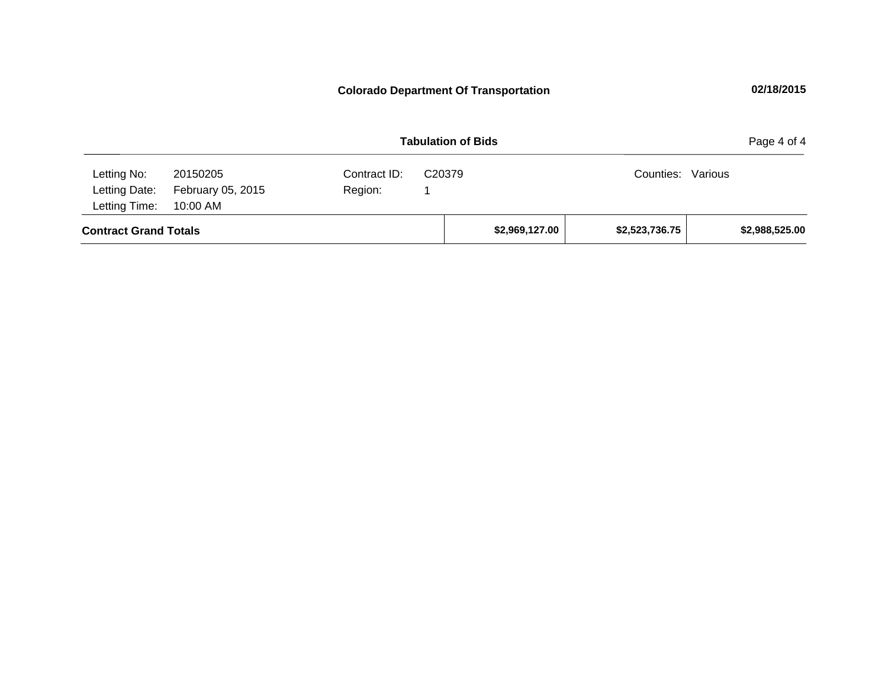|                                                        |                               | Page 4 of 4             |                    |                |                   |                |
|--------------------------------------------------------|-------------------------------|-------------------------|--------------------|----------------|-------------------|----------------|
| Letting No:<br>Letting Date:<br>Letting Time: 10:00 AM | 20150205<br>February 05, 2015 | Contract ID:<br>Region: | C <sub>20379</sub> |                | Counties: Various |                |
| <b>Contract Grand Totals</b>                           |                               |                         |                    | \$2,969,127.00 | \$2,523,736.75    | \$2,988,525.00 |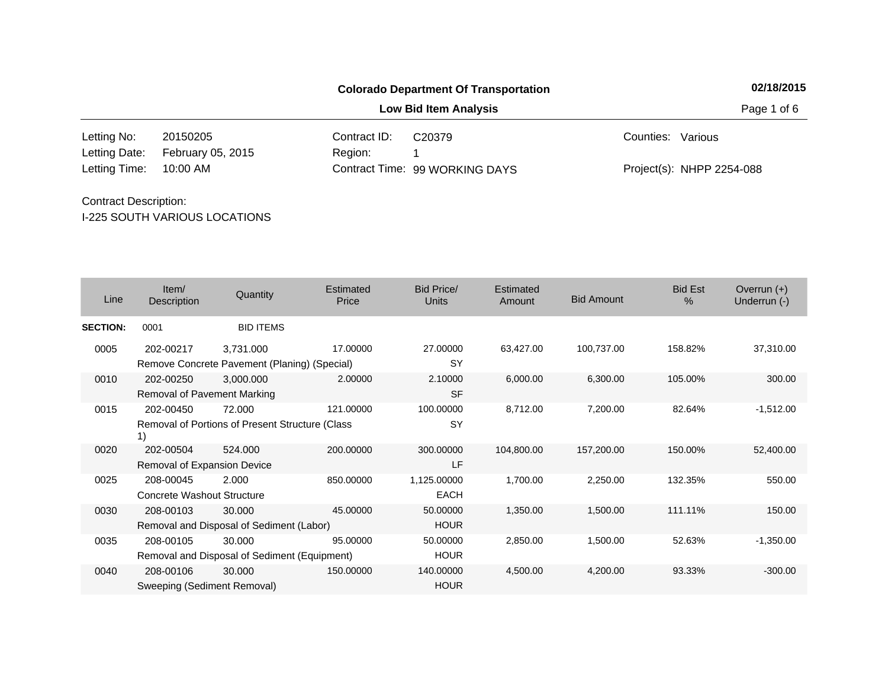20150205 Contract ID: 10:00 AM Region: 1 Letting No: 20150205 Contract ID: C20379 Contract ID: Cunties: Various 99 WORKING DAYS Letting Time: Contract Time:February 05, 2015 Project(s): NHPP 2254-088 Letting Date: C20379

## I-225 SOUTH VARIOUS LOCATIONS Contract Description:

| Line            | Item/<br>Description                           | Quantity                                                  | <b>Estimated</b><br>Price | <b>Bid Price/</b><br><b>Units</b> | Estimated<br>Amount | <b>Bid Amount</b> | <b>Bid Est</b><br>% | Overrun $(+)$<br>Underrun (-) |
|-----------------|------------------------------------------------|-----------------------------------------------------------|---------------------------|-----------------------------------|---------------------|-------------------|---------------------|-------------------------------|
| <b>SECTION:</b> | 0001                                           | <b>BID ITEMS</b>                                          |                           |                                   |                     |                   |                     |                               |
| 0005            | 202-00217                                      | 3,731.000<br>Remove Concrete Pavement (Planing) (Special) | 17.00000                  | 27.00000<br>SY                    | 63,427.00           | 100,737.00        | 158.82%             | 37,310.00                     |
| 0010            | 202-00250<br>Removal of Pavement Marking       | 3,000.000                                                 | 2.00000                   | 2.10000<br><b>SF</b>              | 6,000.00            | 6,300.00          | 105.00%             | 300.00                        |
| 0015            | 202-00450<br>1)                                | 72,000<br>Removal of Portions of Present Structure (Class | 121.00000                 | 100.00000<br>SY                   | 8,712.00            | 7,200.00          | 82.64%              | $-1,512.00$                   |
| 0020            | 202-00504<br>Removal of Expansion Device       | 524.000                                                   | 200.00000                 | 300.00000<br>LF                   | 104,800.00          | 157,200.00        | 150.00%             | 52,400.00                     |
| 0025            | 208-00045<br><b>Concrete Washout Structure</b> | 2.000                                                     | 850,00000                 | 1,125.00000<br><b>EACH</b>        | 1,700.00            | 2,250.00          | 132.35%             | 550.00                        |
| 0030            | 208-00103                                      | 30.000<br>Removal and Disposal of Sediment (Labor)        | 45.00000                  | 50,00000<br><b>HOUR</b>           | 1,350.00            | 1,500.00          | 111.11%             | 150.00                        |
| 0035            | 208-00105                                      | 30,000<br>Removal and Disposal of Sediment (Equipment)    | 95.00000                  | 50.00000<br><b>HOUR</b>           | 2,850.00            | 1,500.00          | 52.63%              | $-1,350.00$                   |
| 0040            | 208-00106<br>Sweeping (Sediment Removal)       | 30.000                                                    | 150,00000                 | 140.00000<br><b>HOUR</b>          | 4,500.00            | 4,200.00          | 93.33%              | $-300.00$                     |

## **Colorado Department Of Transportation 02/18/2015**

**Low Bid Item Analysis Page 1 of 6**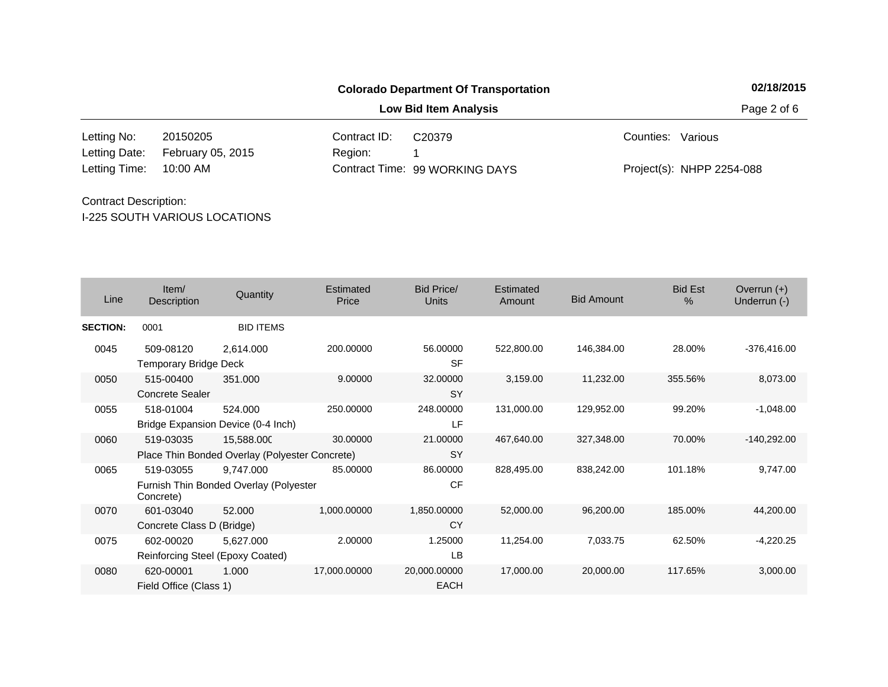**Low Bid Item Analysis Page 2 of 6** 

20150205 Contract ID: 10:00 AM Region: 1 Letting No: 20150205 Contract ID: C20379 Contract ID: Cunties: Various 99 WORKING DAYS Letting Time: Contract Time:February 05, 2015 Project(s): NHPP 2254-088 Letting Date: C20379

| Line            | Item/<br>Description                      | Quantity                                                     | Estimated<br>Price | Bid Price/<br><b>Units</b>  | Estimated<br>Amount | <b>Bid Amount</b> | <b>Bid Est</b><br>$\%$ | Overrun $(+)$<br>Underrun (-) |
|-----------------|-------------------------------------------|--------------------------------------------------------------|--------------------|-----------------------------|---------------------|-------------------|------------------------|-------------------------------|
| <b>SECTION:</b> | 0001                                      | <b>BID ITEMS</b>                                             |                    |                             |                     |                   |                        |                               |
| 0045            | 509-08120<br><b>Temporary Bridge Deck</b> | 2,614.000                                                    | 200.00000          | 56.00000<br><b>SF</b>       | 522,800.00          | 146,384.00        | 28.00%                 | $-376,416.00$                 |
| 0050            | 515-00400<br><b>Concrete Sealer</b>       | 351.000                                                      | 9.00000            | 32.00000<br><b>SY</b>       | 3,159.00            | 11,232.00         | 355.56%                | 8,073.00                      |
| 0055            | 518-01004                                 | 524.000<br>Bridge Expansion Device (0-4 Inch)                | 250.00000          | 248.00000<br>LF             | 131,000.00          | 129,952.00        | 99.20%                 | $-1,048.00$                   |
| 0060            | 519-03035                                 | 15,588.000<br>Place Thin Bonded Overlay (Polyester Concrete) | 30.00000           | 21.00000<br><b>SY</b>       | 467,640.00          | 327,348.00        | 70.00%                 | $-140,292.00$                 |
| 0065            | 519-03055<br>Concrete)                    | 9,747.000<br>Furnish Thin Bonded Overlay (Polyester          | 85.00000           | 86.00000<br><b>CF</b>       | 828,495.00          | 838,242.00        | 101.18%                | 9,747.00                      |
| 0070            | 601-03040<br>Concrete Class D (Bridge)    | 52.000                                                       | 1,000.00000        | 1,850.00000<br>CY           | 52,000.00           | 96,200.00         | 185.00%                | 44,200.00                     |
| 0075            | 602-00020                                 | 5,627.000<br>Reinforcing Steel (Epoxy Coated)                | 2.00000            | 1.25000<br>LB               | 11,254.00           | 7,033.75          | 62.50%                 | $-4,220.25$                   |
| 0080            | 620-00001<br>Field Office (Class 1)       | 1.000                                                        | 17,000.00000       | 20,000.00000<br><b>EACH</b> | 17,000.00           | 20,000.00         | 117.65%                | 3,000.00                      |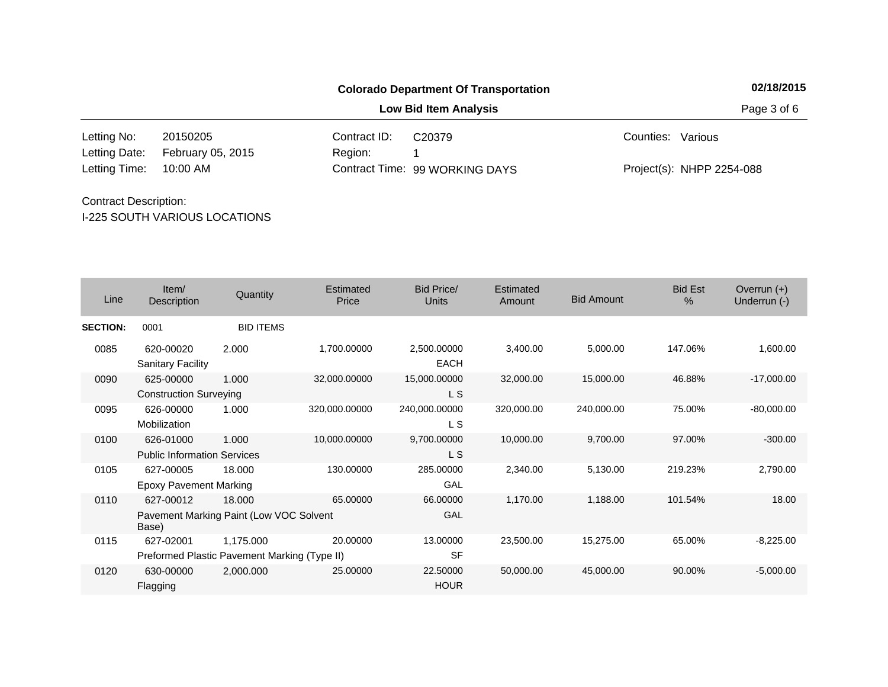**Low Bid Item Analysis Page 3 of 6** 

20150205 Contract ID: 10:00 AM Region: 1 Letting No: 20150205 Contract ID: C20379 Contract ID: Cunties: Various 99 WORKING DAYS Letting Time: Contract Time:February 05, 2015 Project(s): NHPP 2254-088 Letting Date: C20379

| Line            | Item/<br>Description                                          | Quantity         | <b>Estimated</b><br>Price | Bid Price/<br><b>Units</b> | Estimated<br>Amount | <b>Bid Amount</b> | <b>Bid Est</b><br>$\%$ | Overrun $(+)$<br>Underrun (-) |
|-----------------|---------------------------------------------------------------|------------------|---------------------------|----------------------------|---------------------|-------------------|------------------------|-------------------------------|
| <b>SECTION:</b> | 0001                                                          | <b>BID ITEMS</b> |                           |                            |                     |                   |                        |                               |
| 0085            | 620-00020<br><b>Sanitary Facility</b>                         | 2.000            | 1,700.00000               | 2,500.00000<br><b>EACH</b> | 3,400.00            | 5,000.00          | 147.06%                | 1,600.00                      |
| 0090            | 625-00000<br><b>Construction Surveying</b>                    | 1.000            | 32,000.00000              | 15,000.00000<br>L S        | 32,000.00           | 15,000.00         | 46.88%                 | $-17,000.00$                  |
| 0095            | 626-00000<br>Mobilization                                     | 1.000            | 320,000.00000             | 240,000.00000<br>L S       | 320,000.00          | 240,000.00        | 75.00%                 | $-80,000.00$                  |
| 0100            | 626-01000<br><b>Public Information Services</b>               | 1.000            | 10,000.00000              | 9,700.00000<br>L S         | 10,000.00           | 9,700.00          | 97.00%                 | $-300.00$                     |
| 0105            | 627-00005<br><b>Epoxy Pavement Marking</b>                    | 18.000           | 130.00000                 | 285.00000<br>GAL           | 2,340.00            | 5,130.00          | 219.23%                | 2,790.00                      |
| 0110            | 627-00012<br>Pavement Marking Paint (Low VOC Solvent<br>Base) | 18,000           | 65.00000                  | 66,00000<br>GAL            | 1,170.00            | 1,188.00          | 101.54%                | 18.00                         |
| 0115            | 627-02001<br>Preformed Plastic Pavement Marking (Type II)     | 1,175.000        | 20.00000                  | 13.00000<br><b>SF</b>      | 23,500.00           | 15.275.00         | 65.00%                 | $-8,225.00$                   |
| 0120            | 630-00000<br>Flagging                                         | 2,000.000        | 25.00000                  | 22.50000<br><b>HOUR</b>    | 50,000.00           | 45,000.00         | 90.00%                 | $-5,000.00$                   |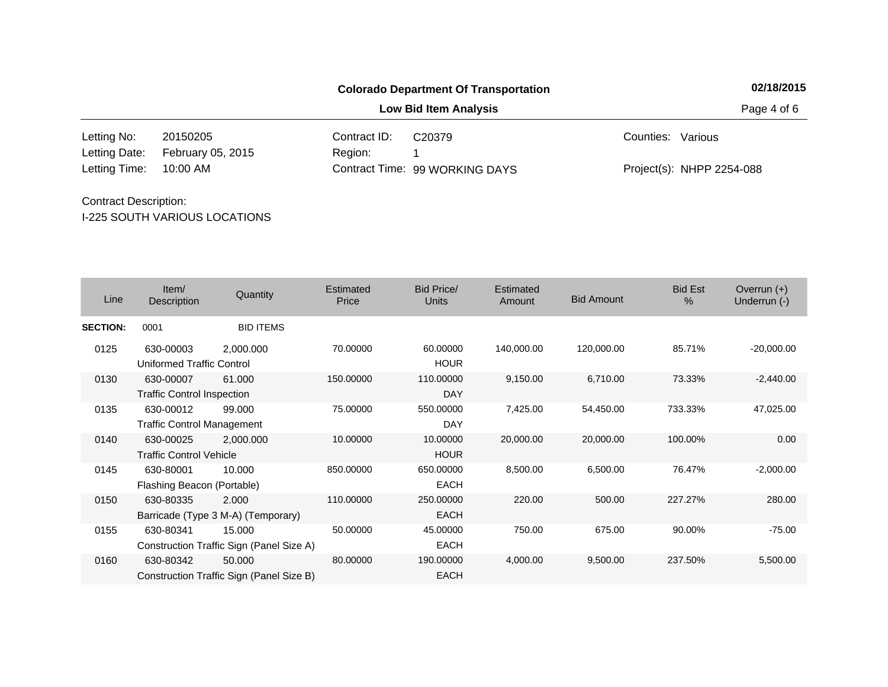**Low Bid Item Analysis Page 4 of 6** 

20150205 Contract ID: 10:00 AM Region: 1 Letting No: 20150205 Contract ID: C20379 Contract ID: Cunties: Various 99 WORKING DAYS Letting Time: Contract Time:February 05, 2015 Project(s): NHPP 2254-088 Letting Date: C20379

| Line            | Item/<br>Description                           | Quantity                                           | Estimated<br>Price | Bid Price/<br><b>Units</b> | Estimated<br>Amount | <b>Bid Amount</b> | <b>Bid Est</b><br>$\%$ | Overrun $(+)$<br>Underrun (-) |
|-----------------|------------------------------------------------|----------------------------------------------------|--------------------|----------------------------|---------------------|-------------------|------------------------|-------------------------------|
| <b>SECTION:</b> | 0001                                           | <b>BID ITEMS</b>                                   |                    |                            |                     |                   |                        |                               |
| 0125            | 630-00003<br><b>Uniformed Traffic Control</b>  | 2,000.000                                          | 70.00000           | 60.00000<br><b>HOUR</b>    | 140,000.00          | 120,000.00        | 85.71%                 | $-20,000.00$                  |
| 0130            | 630-00007<br><b>Traffic Control Inspection</b> | 61.000                                             | 150.00000          | 110.00000<br>DAY           | 9,150.00            | 6,710.00          | 73.33%                 | $-2,440.00$                   |
| 0135            | 630-00012<br><b>Traffic Control Management</b> | 99.000                                             | 75.00000           | 550.00000<br><b>DAY</b>    | 7,425.00            | 54,450.00         | 733.33%                | 47,025.00                     |
| 0140            | 630-00025<br><b>Traffic Control Vehicle</b>    | 2,000.000                                          | 10.00000           | 10.00000<br><b>HOUR</b>    | 20,000.00           | 20,000.00         | 100.00%                | 0.00                          |
| 0145            | 630-80001<br>Flashing Beacon (Portable)        | 10.000                                             | 850.00000          | 650.00000<br><b>EACH</b>   | 8,500.00            | 6,500.00          | 76.47%                 | $-2,000.00$                   |
| 0150            | 630-80335                                      | 2.000<br>Barricade (Type 3 M-A) (Temporary)        | 110.00000          | 250.00000<br><b>EACH</b>   | 220.00              | 500.00            | 227.27%                | 280.00                        |
| 0155            | 630-80341                                      | 15.000<br>Construction Traffic Sign (Panel Size A) | 50.00000           | 45.00000<br><b>EACH</b>    | 750.00              | 675.00            | 90.00%                 | $-75.00$                      |
| 0160            | 630-80342                                      | 50,000<br>Construction Traffic Sign (Panel Size B) | 80.00000           | 190.00000<br><b>EACH</b>   | 4,000.00            | 9,500.00          | 237.50%                | 5,500.00                      |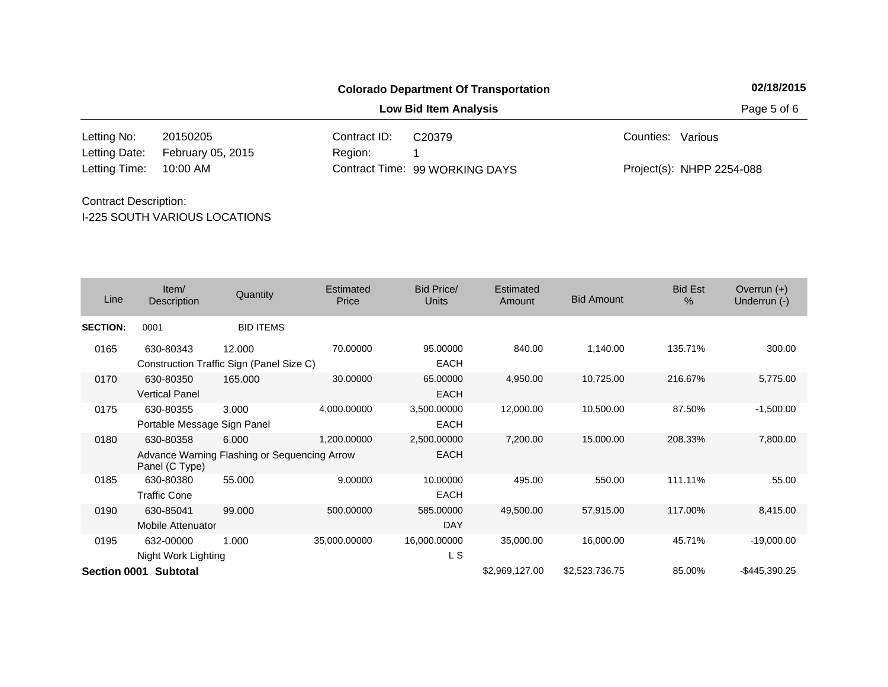**Low Bid Item Analysis Page 5 of 6** 

20150205 Contract ID: 10:00 AM Region: 1 Letting No: 20150205 Contract ID: C20379 Contract ID: Cunties: Various 99 WORKING DAYS Letting Time: Contract Time:February 05, 2015 Project(s): NHPP 2254-088 Letting Date: C20379

| Line            | Item/<br>Description                     | Quantity                                              | Estimated<br>Price | Bid Price/<br><b>Units</b> | Estimated<br>Amount | <b>Bid Amount</b> | <b>Bid Est</b><br>$\%$ | Overrun $(+)$<br>Underrun (-) |
|-----------------|------------------------------------------|-------------------------------------------------------|--------------------|----------------------------|---------------------|-------------------|------------------------|-------------------------------|
| <b>SECTION:</b> | 0001                                     | <b>BID ITEMS</b>                                      |                    |                            |                     |                   |                        |                               |
| 0165            | 630-80343                                | 12.000<br>Construction Traffic Sign (Panel Size C)    | 70.00000           | 95.00000<br>EACH           | 840.00              | 1,140.00          | 135.71%                | 300.00                        |
| 0170            | 630-80350<br><b>Vertical Panel</b>       | 165.000                                               | 30.00000           | 65.00000<br><b>EACH</b>    | 4,950.00            | 10,725.00         | 216.67%                | 5,775.00                      |
| 0175            | 630-80355<br>Portable Message Sign Panel | 3.000                                                 | 4,000.00000        | 3,500.00000<br><b>EACH</b> | 12,000.00           | 10,500.00         | 87.50%                 | $-1,500.00$                   |
| 0180            | 630-80358<br>Panel (C Type)              | 6.000<br>Advance Warning Flashing or Sequencing Arrow | 1,200.00000        | 2,500.00000<br><b>EACH</b> | 7,200.00            | 15,000.00         | 208.33%                | 7,800.00                      |
| 0185            | 630-80380<br><b>Traffic Cone</b>         | 55.000                                                | 9.00000            | 10.00000<br><b>EACH</b>    | 495.00              | 550.00            | 111.11%                | 55.00                         |
| 0190            | 630-85041<br><b>Mobile Attenuator</b>    | 99.000                                                | 500.00000          | 585.00000<br><b>DAY</b>    | 49,500.00           | 57,915.00         | 117.00%                | 8,415.00                      |
| 0195            | 632-00000<br>Night Work Lighting         | 1.000                                                 | 35,000.00000       | 16,000.00000<br>L S        | 35,000.00           | 16,000.00         | 45.71%                 | $-19,000.00$                  |
|                 | Section 0001 Subtotal                    |                                                       |                    |                            | \$2,969,127.00      | \$2,523,736.75    | 85.00%                 | -\$445,390.25                 |